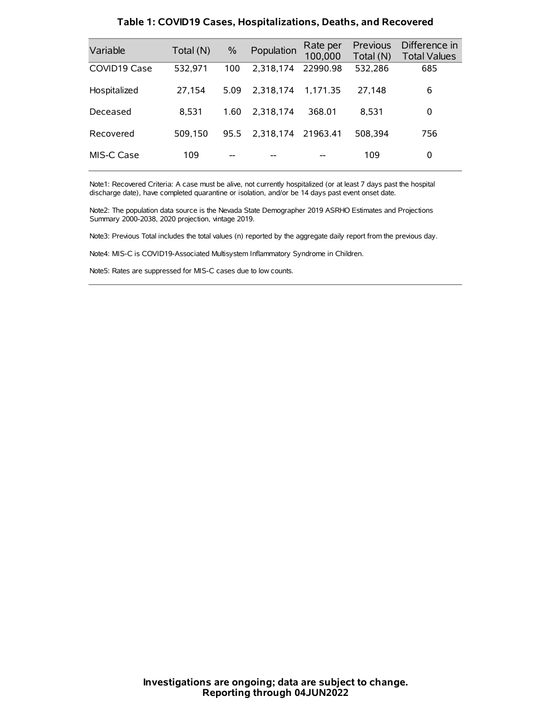| Variable     | Total (N) | $\frac{0}{0}$ | Population | Rate per<br>100,000 | Previous<br>Total (N) | Difference in<br><b>Total Values</b> |
|--------------|-----------|---------------|------------|---------------------|-----------------------|--------------------------------------|
| COVID19 Case | 532,971   | 100           | 2.318.174  | 22990.98            | 532,286               | 685                                  |
| Hospitalized | 27.154    | 5.09          | 2.318.174  | 1.171.35            | 27.148                | 6                                    |
| Deceased     | 8.531     | 1.60          | 2.318.174  | 368.01              | 8.531                 | 0                                    |
| Recovered    | 509.150   | 95.5          | 2.318.174  | 21963.41            | 508.394               | 756                                  |
| MIS-C Case   | 109       | --            |            |                     | 109                   | 0                                    |

#### **Table 1: COVID19 Cases, Hospitalizations, Deaths, and Recovered**

Note1: Recovered Criteria: A case must be alive, not currently hospitalized (or at least 7 days past the hospital discharge date), have completed quarantine or isolation, and/or be 14 days past event onset date.

Note2: The population data source is the Nevada State Demographer 2019 ASRHO Estimates and Projections Summary 2000-2038, 2020 projection, vintage 2019.

Note3: Previous Total includes the total values (n) reported by the aggregate daily report from the previous day.

Note4: MIS-C is COVID19-Associated Multisystem Inflammatory Syndrome in Children.

Note5: Rates are suppressed for MIS-C cases due to low counts.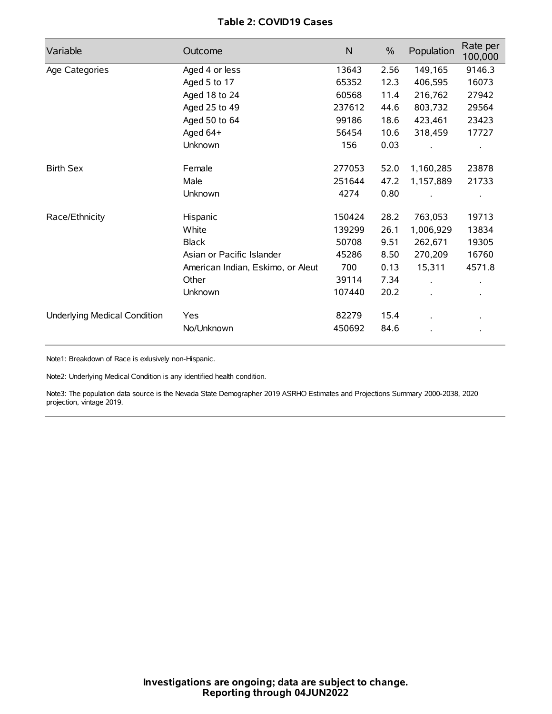# **Table 2: COVID19 Cases**

| Variable                     | Outcome                           | $\mathsf{N}$ | $\%$ | Population           | Rate per<br>100,000 |
|------------------------------|-----------------------------------|--------------|------|----------------------|---------------------|
| Age Categories               | Aged 4 or less                    | 13643        | 2.56 | 149,165              | 9146.3              |
|                              | Aged 5 to 17                      | 65352        | 12.3 | 406,595              | 16073               |
|                              | Aged 18 to 24                     | 60568        | 11.4 | 216,762              | 27942               |
|                              | Aged 25 to 49                     | 237612       | 44.6 | 803,732              | 29564               |
|                              | Aged 50 to 64                     | 99186        | 18.6 | 423,461              | 23423               |
|                              | Aged 64+                          | 56454        | 10.6 | 318,459              | 17727               |
|                              | Unknown                           | 156          | 0.03 |                      |                     |
| <b>Birth Sex</b>             | Female                            | 277053       | 52.0 | 1,160,285            | 23878               |
|                              | Male                              | 251644       | 47.2 | 1,157,889            | 21733               |
|                              | Unknown                           | 4274         | 0.80 |                      |                     |
| Race/Ethnicity               | Hispanic                          | 150424       | 28.2 | 763,053              | 19713               |
|                              | White                             | 139299       | 26.1 | 1,006,929            | 13834               |
|                              | <b>Black</b>                      | 50708        | 9.51 | 262,671              | 19305               |
|                              | Asian or Pacific Islander         | 45286        | 8.50 | 270,209              | 16760               |
|                              | American Indian, Eskimo, or Aleut | 700          | 0.13 | 15,311               | 4571.8              |
|                              | Other                             | 39114        | 7.34 | $\ddot{\phantom{0}}$ |                     |
|                              | Unknown                           | 107440       | 20.2 | ÷.                   |                     |
| Underlying Medical Condition | Yes                               | 82279        | 15.4 |                      |                     |
|                              | No/Unknown                        | 450692       | 84.6 |                      |                     |

Note1: Breakdown of Race is exlusively non-Hispanic.

Note2: Underlying Medical Condition is any identified health condition.

Note3: The population data source is the Nevada State Demographer 2019 ASRHO Estimates and Projections Summary 2000-2038, 2020 projection, vintage 2019.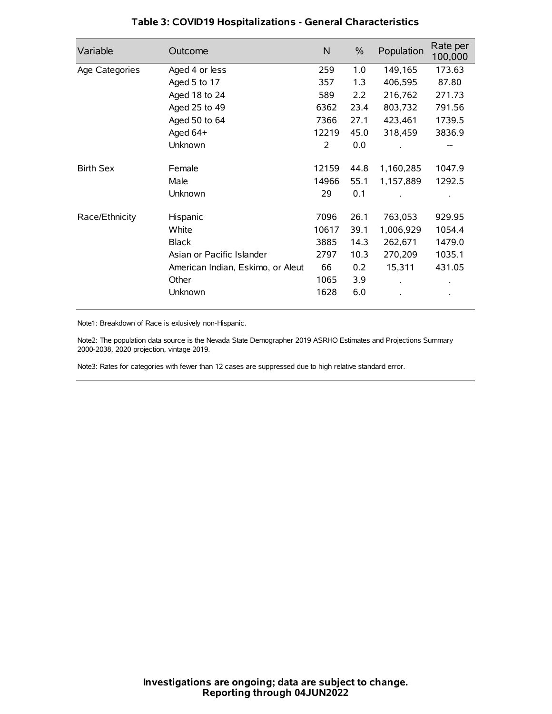| Variable         | Outcome                           | $\mathsf{N}$ | $\%$ | Population | Rate per<br>100,000 |
|------------------|-----------------------------------|--------------|------|------------|---------------------|
| Age Categories   | Aged 4 or less                    | 259          | 1.0  | 149,165    | 173.63              |
|                  | Aged 5 to 17                      | 357          | 1.3  | 406,595    | 87.80               |
|                  | Aged 18 to 24                     | 589          | 2.2  | 216,762    | 271.73              |
|                  | Aged 25 to 49                     | 6362         | 23.4 | 803,732    | 791.56              |
|                  | Aged 50 to 64                     | 7366         | 27.1 | 423,461    | 1739.5              |
|                  | Aged 64+                          | 12219        | 45.0 | 318,459    | 3836.9              |
|                  | Unknown                           | 2            | 0.0  |            |                     |
| <b>Birth Sex</b> | Female                            | 12159        | 44.8 | 1,160,285  | 1047.9              |
|                  | Male                              | 14966        | 55.1 | 1,157,889  | 1292.5              |
|                  | Unknown                           | 29           | 0.1  |            |                     |
| Race/Ethnicity   | Hispanic                          | 7096         | 26.1 | 763,053    | 929.95              |
|                  | White                             | 10617        | 39.1 | 1,006,929  | 1054.4              |
|                  | <b>Black</b>                      | 3885         | 14.3 | 262,671    | 1479.0              |
|                  | Asian or Pacific Islander         | 2797         | 10.3 | 270,209    | 1035.1              |
|                  | American Indian, Eskimo, or Aleut | 66           | 0.2  | 15,311     | 431.05              |
|                  | Other                             | 1065         | 3.9  |            |                     |
|                  | Unknown                           | 1628         | 6.0  |            |                     |

# **Table 3: COVID19 Hospitalizations - General Characteristics**

Note1: Breakdown of Race is exlusively non-Hispanic.

Note2: The population data source is the Nevada State Demographer 2019 ASRHO Estimates and Projections Summary 2000-2038, 2020 projection, vintage 2019.

Note3: Rates for categories with fewer than 12 cases are suppressed due to high relative standard error.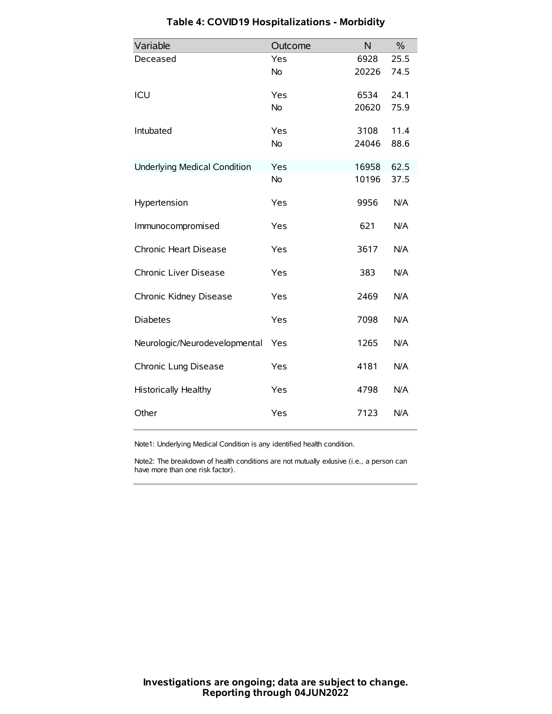| Variable                            | Outcome   | N     | $\%$ |
|-------------------------------------|-----------|-------|------|
| Deceased                            | Yes       | 6928  | 25.5 |
|                                     | <b>No</b> | 20226 | 74.5 |
| ICU                                 | Yes       | 6534  | 24.1 |
|                                     | No        | 20620 | 75.9 |
| Intubated                           | Yes       | 3108  | 11.4 |
|                                     | <b>No</b> | 24046 | 88.6 |
| <b>Underlying Medical Condition</b> | Yes       | 16958 | 62.5 |
|                                     | No        | 10196 | 37.5 |
| Hypertension                        | Yes       | 9956  | N/A  |
| Immunocompromised                   | Yes       | 621   | N/A  |
| Chronic Heart Disease               | Yes       | 3617  | N/A  |
| Chronic Liver Disease               | Yes       | 383   | N/A  |
| Chronic Kidney Disease              | Yes       | 2469  | N/A  |
| <b>Diabetes</b>                     | Yes       | 7098  | N/A  |
| Neurologic/Neurodevelopmental       | Yes       | 1265  | N/A  |
| Chronic Lung Disease                | Yes       | 4181  | N/A  |
| <b>Historically Healthy</b>         | Yes       | 4798  | N/A  |
| Other                               | Yes       | 7123  | N/A  |

# **Table 4: COVID19 Hospitalizations - Morbidity**

Note1: Underlying Medical Condition is any identified health condition.

Note2: The breakdown of health conditions are not mutually exlusive (i.e., a person can have more than one risk factor).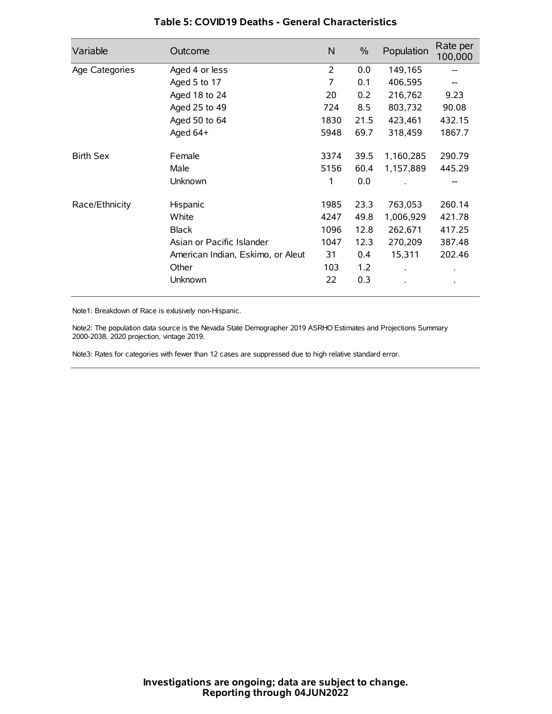| Variable         | Outcome                           | N    | $\%$ | Population | Rate per<br>100,000 |
|------------------|-----------------------------------|------|------|------------|---------------------|
| Age Categories   | Aged 4 or less                    | 2    | 0.0  | 149,165    |                     |
|                  | Aged 5 to 17                      | 7    | 0.1  | 406,595    |                     |
|                  | Aged 18 to 24                     | 20   | 0.2  | 216,762    | 9.23                |
|                  | Aged 25 to 49                     | 724  | 8.5  | 803,732    | 90.08               |
|                  | Aged 50 to 64                     | 1830 | 21.5 | 423,461    | 432.15              |
|                  | Aged 64+                          | 5948 | 69.7 | 318,459    | 1867.7              |
| <b>Birth Sex</b> | Female                            | 3374 | 39.5 | 1,160,285  | 290.79              |
|                  | Male                              | 5156 | 60.4 | 1,157,889  | 445.29              |
|                  | Unknown                           | 1    | 0.0  |            | --                  |
| Race/Ethnicity   | Hispanic                          | 1985 | 23.3 | 763,053    | 260.14              |
|                  | White                             | 4247 | 49.8 | 1,006,929  | 421.78              |
|                  | <b>Black</b>                      | 1096 | 12.8 | 262,671    | 417.25              |
|                  | Asian or Pacific Islander         | 1047 | 12.3 | 270,209    | 387.48              |
|                  | American Indian, Eskimo, or Aleut | 31   | 0.4  | 15,311     | 202.46              |
|                  | Other                             | 103  | 1.2  |            | $\bullet$           |
|                  | Unknown                           | 22   | 0.3  |            | $\bullet$           |

### **Table 5: COVID19 Deaths - General Characteristics**

Note1: Breakdown of Race is exlusively non-Hispanic.

Note2: The population data source is the Nevada State Demographer 2019 ASRHO Estimates and Projections Summary 2000-2038, 2020 projection, vintage 2019.

Note3: Rates for categories with fewer than 12 cases are suppressed due to high relative standard error.